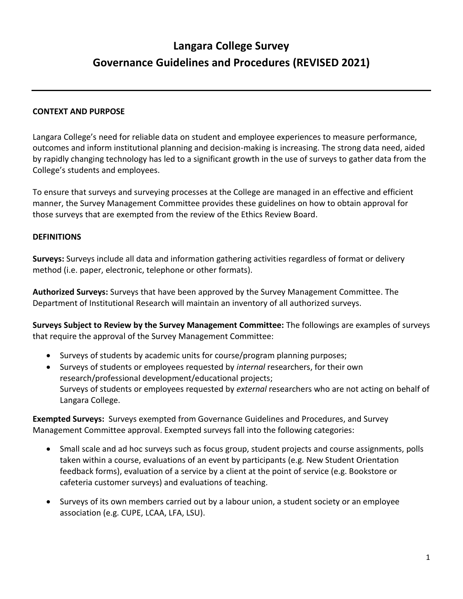# **Langara College Survey Governance Guidelines and Procedures (REVISED 2021)**

## **CONTEXT AND PURPOSE**

Langara College's need for reliable data on student and employee experiences to measure performance, outcomes and inform institutional planning and decision-making is increasing. The strong data need, aided by rapidly changing technology has led to a significant growth in the use of surveys to gather data from the College's students and employees.

To ensure that surveys and surveying processes at the College are managed in an effective and efficient manner, the Survey Management Committee provides these guidelines on how to obtain approval for those surveys that are exempted from the review of the Ethics Review Board.

### **DEFINITIONS**

**Surveys:** Surveys include all data and information gathering activities regardless of format or delivery method (i.e. paper, electronic, telephone or other formats).

**Authorized Surveys:** Surveys that have been approved by the Survey Management Committee. The Department of Institutional Research will maintain an inventory of all authorized surveys.

**Surveys Subject to Review by the Survey Management Committee:** The followings are examples of surveys that require the approval of the Survey Management Committee:

- Surveys of students by academic units for course/program planning purposes;
- Surveys of students or employees requested by *internal* researchers, for their own research/professional development/educational projects; Surveys of students or employees requested by *external* researchers who are not acting on behalf of Langara College.

**Exempted Surveys:** Surveys exempted from Governance Guidelines and Procedures, and Survey Management Committee approval. Exempted surveys fall into the following categories:

- Small scale and ad hoc surveys such as focus group, student projects and course assignments, polls taken within a course, evaluations of an event by participants (e.g. New Student Orientation feedback forms), evaluation of a service by a client at the point of service (e.g. Bookstore or cafeteria customer surveys) and evaluations of teaching.
- Surveys of its own members carried out by a labour union, a student society or an employee association (e.g. CUPE, LCAA, LFA, LSU).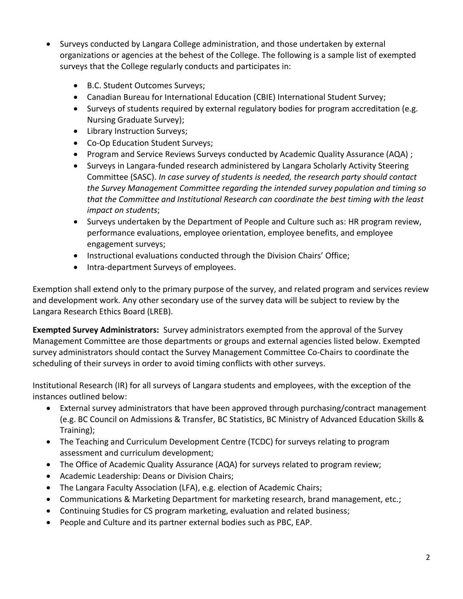- Surveys conducted by Langara College administration, and those undertaken by external organizations or agencies at the behest of the College. The following is a sample list of exempted surveys that the College regularly conducts and participates in:
	- B.C. Student Outcomes Surveys;
	- Canadian Bureau for International Education (CBIE) International Student Survey;
	- Surveys of students required by external regulatory bodies for program accreditation (e.g. Nursing Graduate Survey);
	- Library Instruction Surveys;
	- Co-Op Education Student Surveys;
	- Program and Service Reviews Surveys conducted by Academic Quality Assurance (AQA) ;
	- Surveys in Langara-funded research administered by Langara Scholarly Activity Steering Committee (SASC). *In case survey of students is needed, the research party should contact the Survey Management Committee regarding the intended survey population and timing so that the Committee and Institutional Research can coordinate the best timing with the least impact on students*;
	- Surveys undertaken by the Department of People and Culture such as: HR program review, performance evaluations, employee orientation, employee benefits, and employee engagement surveys;
	- Instructional evaluations conducted through the Division Chairs' Office;
	- Intra-department Surveys of employees.

Exemption shall extend only to the primary purpose of the survey, and related program and services review and development work. Any other secondary use of the survey data will be subject to review by the Langara Research Ethics Board (LREB).

**Exempted Survey Administrators:** Survey administrators exempted from the approval of the Survey Management Committee are those departments or groups and external agencies listed below. Exempted survey administrators should contact the Survey Management Committee Co-Chairs to coordinate the scheduling of their surveys in order to avoid timing conflicts with other surveys.

Institutional Research (IR) for all surveys of Langara students and employees, with the exception of the instances outlined below:

- External survey administrators that have been approved through purchasing/contract management (e.g. BC Council on Admissions & Transfer, BC Statistics, BC Ministry of Advanced Education Skills & Training);
- The Teaching and Curriculum Development Centre (TCDC) for surveys relating to program assessment and curriculum development;
- The Office of Academic Quality Assurance (AQA) for surveys related to program review;
- Academic Leadership: Deans or Division Chairs;
- The Langara Faculty Association (LFA), e.g. election of Academic Chairs;
- Communications & Marketing Department for marketing research, brand management, etc.;
- Continuing Studies for CS program marketing, evaluation and related business;
- People and Culture and its partner external bodies such as PBC, EAP.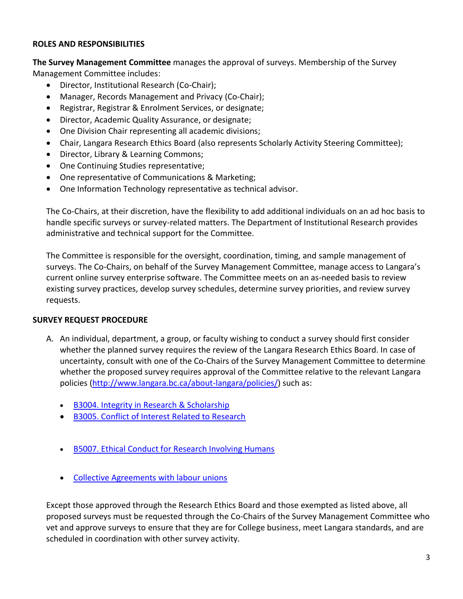## **ROLES AND RESPONSIBILITIES**

**The Survey Management Committee** manages the approval of surveys. Membership of the Survey Management Committee includes:

- Director, Institutional Research (Co-Chair);
- Manager, Records Management and Privacy (Co-Chair);
- Registrar, Registrar & Enrolment Services, or designate;
- Director, Academic Quality Assurance, or designate;
- One Division Chair representing all academic divisions;
- Chair, Langara Research Ethics Board (also represents Scholarly Activity Steering Committee);
- Director, Library & Learning Commons;
- One Continuing Studies representative;
- One representative of Communications & Marketing;
- One Information Technology representative as technical advisor.

The Co-Chairs, at their discretion, have the flexibility to add additional individuals on an ad hoc basis to handle specific surveys or survey-related matters. The Department of Institutional Research provides administrative and technical support for the Committee.

The Committee is responsible for the oversight, coordination, timing, and sample management of surveys. The Co-Chairs, on behalf of the Survey Management Committee, manage access to Langara's current online survey enterprise software. The Committee meets on an as-needed basis to review existing survey practices, develop survey schedules, determine survey priorities, and review survey requests.

# **SURVEY REQUEST PROCEDURE**

- A. An individual, department, a group, or faculty wishing to conduct a survey should first consider whether the planned survey requires the review of the Langara Research Ethics Board. In case of uncertainty, consult with one of the Co-Chairs of the Survey Management Committee to determine whether the proposed survey requires approval of the Committee relative to the relevant Langara policies [\(http://www.langara.bc.ca/about-langara/policies/\)](http://www.langara.bc.ca/about-langara/policies/) such as:
	- B3004. [Integrity in Research & Scholarship](https://langara.ca/about-langara/policies/pdf/B3004.pdf)
	- [B3005. Conflict of Interest Related to Research](https://langara.ca/about-langara/policies/pdf/B3005.pdf)
	- [B5007. Ethical Conduct for Research Involving Humans](https://langara.ca/about-langara/policies/pdf/B5007.pdf)
	- [Collective Agreements with labour unions](https://langara.sharepoint.com/sites/peopleandculture/SitePages/Policies-Guidelines-Terms-and-Agreements.aspx)

Except those approved through the Research Ethics Board and those exempted as listed above, all proposed surveys must be requested through the Co-Chairs of the Survey Management Committee who vet and approve surveys to ensure that they are for College business, meet Langara standards, and are scheduled in coordination with other survey activity.